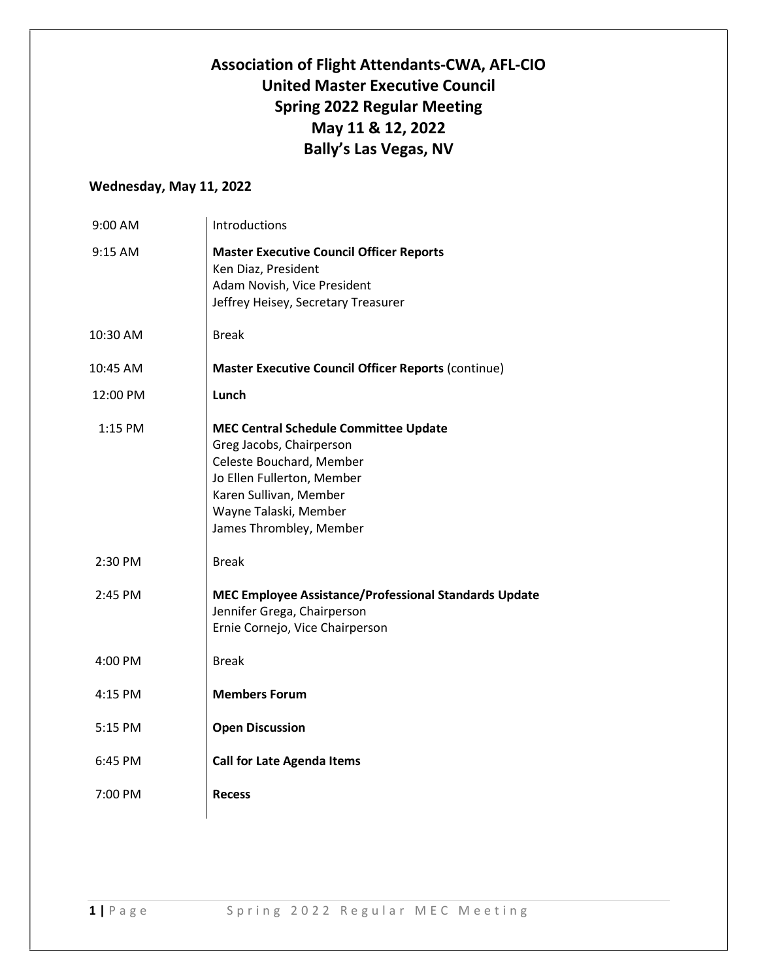## Association of Flight Attendants-CWA, AFL-CIO United Master Executive Council Spring 2022 Regular Meeting May 11 & 12, 2022 Bally's Las Vegas, NV

## Wednesday, May 11, 2022

| 9:00 AM   | Introductions                                                                                                                                                                                                    |
|-----------|------------------------------------------------------------------------------------------------------------------------------------------------------------------------------------------------------------------|
| 9:15 AM   | <b>Master Executive Council Officer Reports</b><br>Ken Diaz, President<br>Adam Novish, Vice President<br>Jeffrey Heisey, Secretary Treasurer                                                                     |
| 10:30 AM  | <b>Break</b>                                                                                                                                                                                                     |
| 10:45 AM  | <b>Master Executive Council Officer Reports (continue)</b>                                                                                                                                                       |
| 12:00 PM  | Lunch                                                                                                                                                                                                            |
| 1:15 PM   | <b>MEC Central Schedule Committee Update</b><br>Greg Jacobs, Chairperson<br>Celeste Bouchard, Member<br>Jo Ellen Fullerton, Member<br>Karen Sullivan, Member<br>Wayne Talaski, Member<br>James Thrombley, Member |
| 2:30 PM   | <b>Break</b>                                                                                                                                                                                                     |
| 2:45 PM   | <b>MEC Employee Assistance/Professional Standards Update</b><br>Jennifer Grega, Chairperson<br>Ernie Cornejo, Vice Chairperson                                                                                   |
| 4:00 PM   | <b>Break</b>                                                                                                                                                                                                     |
| 4:15 PM   | <b>Members Forum</b>                                                                                                                                                                                             |
| $5:15$ PM | <b>Open Discussion</b>                                                                                                                                                                                           |
| 6:45 PM   | <b>Call for Late Agenda Items</b>                                                                                                                                                                                |
| 7:00 PM   | <b>Recess</b>                                                                                                                                                                                                    |